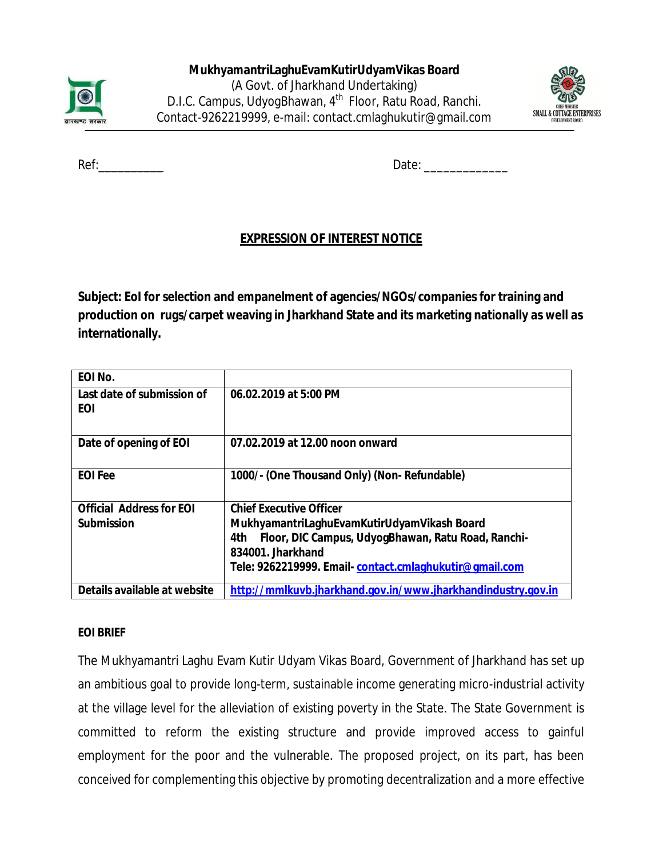



Ref: etc. and the contract of the contract of the Date:  $Date:$ 

# **EXPRESSION OF INTEREST NOTICE**

**Subject: EoI for selection and empanelment of agencies/NGOs/companies for training and production on rugs/carpet weaving in Jharkhand State and its marketing nationally as well as internationally.**

| EOI No.                           |                                                                               |
|-----------------------------------|-------------------------------------------------------------------------------|
| Last date of submission of<br>EOI | 06.02.2019 at 5:00 PM                                                         |
| Date of opening of EOI            | 07.02.2019 at 12.00 noon onward                                               |
| <b>EOI Fee</b>                    | 1000/- (One Thousand Only) (Non-Refundable)                                   |
| <b>Official Address for EOI</b>   | <b>Chief Executive Officer</b>                                                |
| <b>Submission</b>                 | MukhyamantriLaghuEvamKutirUdyamVikash Board                                   |
|                                   | Floor, DIC Campus, UdyogBhawan, Ratu Road, Ranchi-<br>4th<br>834001 Jharkhand |
|                                   | Tele: 9262219999. Email-contact.cmlaghukutir@gmail.com                        |
| Details available at website      | http://mmlkuvb.jharkhand.gov.in/www.jharkhandindustry.gov.in                  |

#### **EOI BRIEF**

The Mukhyamantri Laghu Evam Kutir Udyam Vikas Board, Government of Jharkhand has set up an ambitious goal to provide long-term, sustainable income generating micro-industrial activity at the village level for the alleviation of existing poverty in the State. The State Government is committed to reform the existing structure and provide improved access to gainful employment for the poor and the vulnerable. The proposed project, on its part, has been conceived for complementing this objective by promoting decentralization and a more effective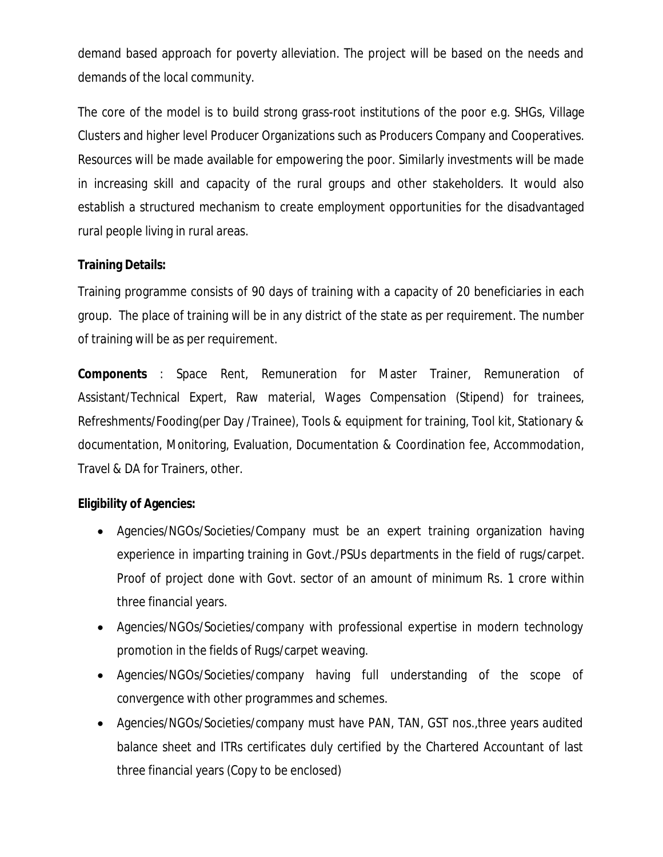demand based approach for poverty alleviation. The project will be based on the needs and demands of the local community.

The core of the model is to build strong grass-root institutions of the poor e.g. SHGs, Village Clusters and higher level Producer Organizations such as Producers Company and Cooperatives. Resources will be made available for empowering the poor. Similarly investments will be made in increasing skill and capacity of the rural groups and other stakeholders. It would also establish a structured mechanism to create employment opportunities for the disadvantaged rural people living in rural areas.

### **Training Details:**

Training programme consists of 90 days of training with a capacity of 20 beneficiaries in each group. The place of training will be in any district of the state as per requirement. The number of training will be as per requirement.

**Components** : Space Rent, Remuneration for Master Trainer, Remuneration of Assistant/Technical Expert, Raw material, Wages Compensation (Stipend) for trainees, Refreshments/Fooding(per Day /Trainee), Tools & equipment for training, Tool kit, Stationary & documentation, Monitoring, Evaluation, Documentation & Coordination fee, Accommodation, Travel & DA for Trainers, other.

### **Eligibility of Agencies:**

- Agencies/NGOs/Societies/Company must be an expert training organization having experience in imparting training in Govt./PSUs departments in the field of rugs/carpet. Proof of project done with Govt. sector of an amount of minimum Rs. 1 crore within three financial years.
- Agencies/NGOs/Societies/company with professional expertise in modern technology promotion in the fields of Rugs/carpet weaving.
- Agencies/NGOs/Societies/company having full understanding of the scope of convergence with other programmes and schemes.
- Agencies/NGOs/Societies/company must have PAN, TAN, GST nos.,three years audited balance sheet and ITRs certificates duly certified by the Chartered Accountant of last three financial years (Copy to be enclosed)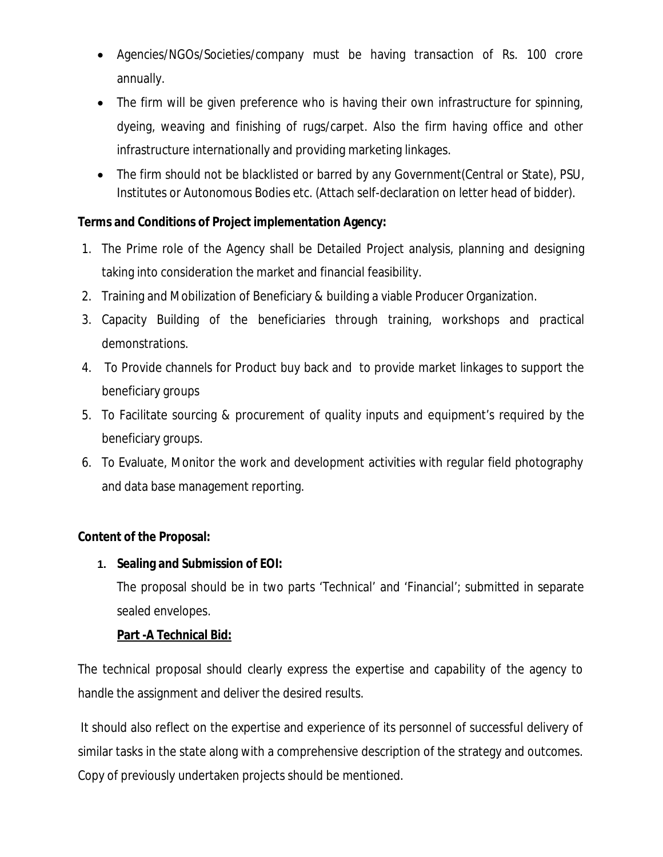- Agencies/NGOs/Societies/company must be having transaction of Rs. 100 crore annually.
- The firm will be given preference who is having their own infrastructure for spinning, dyeing, weaving and finishing of rugs/carpet. Also the firm having office and other infrastructure internationally and providing marketing linkages.
- The firm should not be blacklisted or barred by any Government(Central or State), PSU, Institutes or Autonomous Bodies etc. (Attach self-declaration on letter head of bidder).

# **Terms and Conditions of Project implementation Agency:**

- 1. The Prime role of the Agency shall be Detailed Project analysis, planning and designing taking into consideration the market and financial feasibility.
- 2. Training and Mobilization of Beneficiary & building a viable Producer Organization.
- 3. Capacity Building of the beneficiaries through training, workshops and practical demonstrations.
- 4. To Provide channels for Product buy back and to provide market linkages to support the beneficiary groups
- 5. To Facilitate sourcing & procurement of quality inputs and equipment's required by the beneficiary groups.
- 6. To Evaluate, Monitor the work and development activities with regular field photography and data base management reporting.

### **Content of the Proposal:**

# **1. Sealing and Submission of EOI:**

The proposal should be in two parts 'Technical' and 'Financial'; submitted in separate sealed envelopes.

### **Part -A Technical Bid:**

The technical proposal should clearly express the expertise and capability of the agency to handle the assignment and deliver the desired results.

It should also reflect on the expertise and experience of its personnel of successful delivery of similar tasks in the state along with a comprehensive description of the strategy and outcomes. Copy of previously undertaken projects should be mentioned.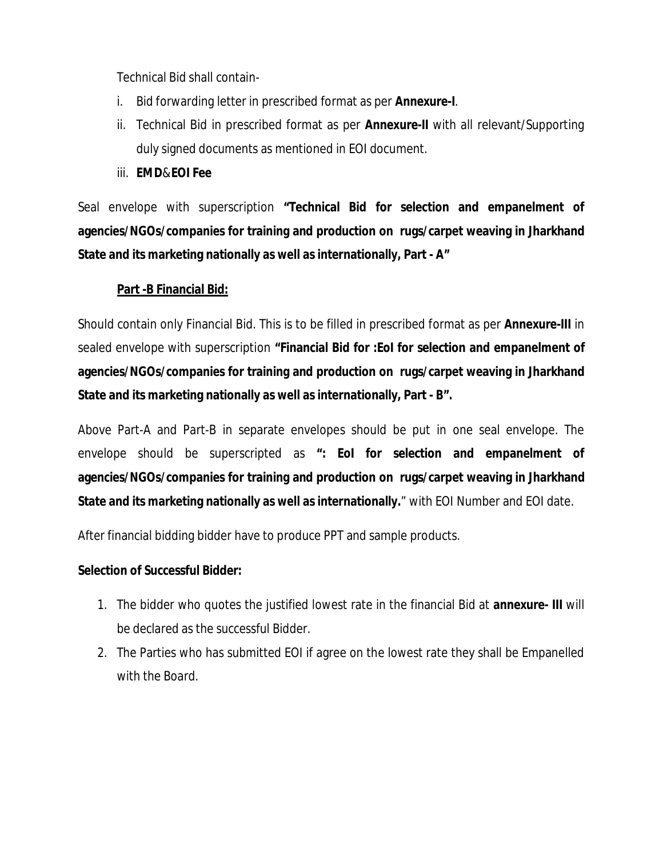Technical Bid shall contain-

- i. Bid forwarding letter in prescribed format as per **Annexure-I**.
- ii. Technical Bid in prescribed format as per **Annexure-II** with all relevant/Supporting duly signed documents as mentioned in EOI document.
- iii. **EMD**&**EOI Fee**

Seal envelope with superscription **"Technical Bid for selection and empanelment of agencies/NGOs/companies for training and production on rugs/carpet weaving in Jharkhand State and its marketing nationally as well as internationally, Part - A"**

#### **Part -B Financial Bid:**

Should contain only Financial Bid. This is to be filled in prescribed format as per **Annexure-III** in sealed envelope with superscription **"Financial Bid for :EoI for selection and empanelment of agencies/NGOs/companies for training and production on rugs/carpet weaving in Jharkhand State and its marketing nationally as well as internationally, Part - B".**

Above Part-A and Part-B in separate envelopes should be put in one seal envelope. The envelope should be superscripted as **": EoI for selection and empanelment of agencies/NGOs/companies for training and production on rugs/carpet weaving in Jharkhand State and its marketing nationally as well as internationally.**" with EOI Number and EOI date.

After financial bidding bidder have to produce PPT and sample products.

#### **Selection of Successful Bidder:**

- 1. The bidder who quotes the justified lowest rate in the financial Bid at **annexure- III** will be declared as the successful Bidder.
- 2. The Parties who has submitted EOI if agree on the lowest rate they shall be Empanelled with the Board.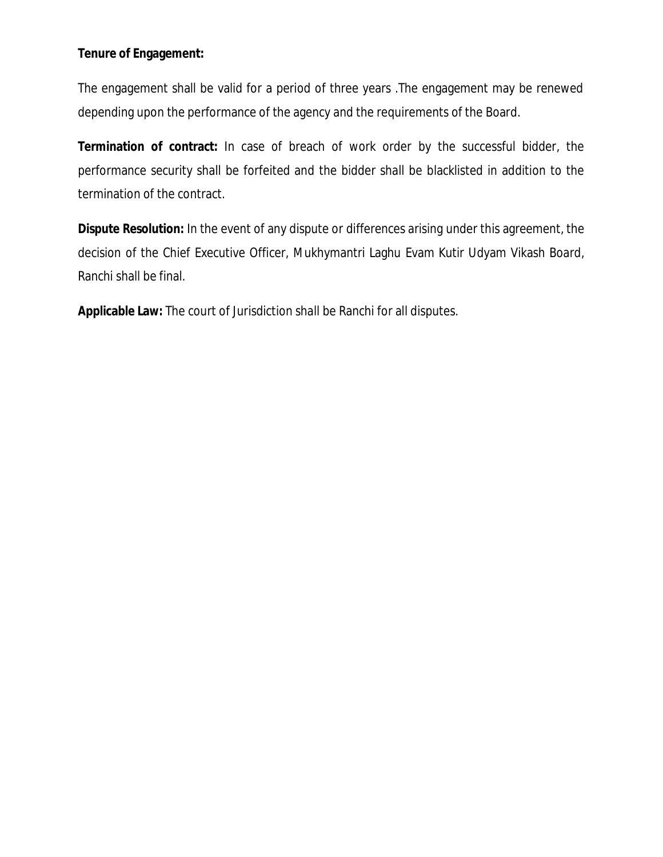#### **Tenure of Engagement:**

The engagement shall be valid for a period of three years .The engagement may be renewed depending upon the performance of the agency and the requirements of the Board.

**Termination of contract:** In case of breach of work order by the successful bidder, the performance security shall be forfeited and the bidder shall be blacklisted in addition to the termination of the contract.

**Dispute Resolution:** In the event of any dispute or differences arising under this agreement, the decision of the Chief Executive Officer, Mukhymantri Laghu Evam Kutir Udyam Vikash Board, Ranchi shall be final.

**Applicable Law:** The court of Jurisdiction shall be Ranchi for all disputes.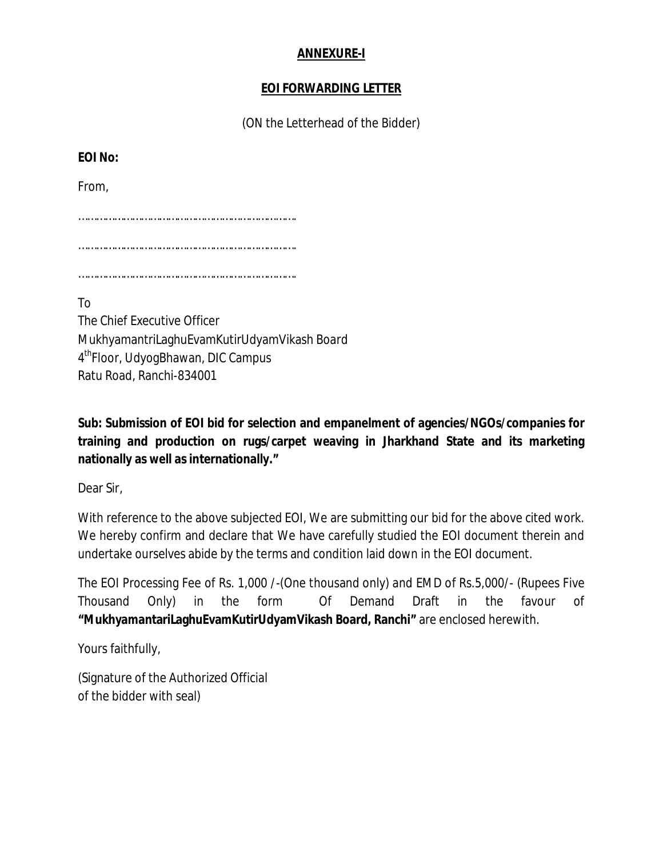#### **ANNEXURE-I**

### **EOI FORWARDING LETTER**

(ON the Letterhead of the Bidder)

**EOI No:** 

From,

……………………………………………………………….

……………………………………………………………….

……………………………………………………………….

To The Chief Executive Officer MukhyamantriLaghuEvamKutirUdyamVikash Board 4 thFloor, UdyogBhawan, DIC Campus Ratu Road, Ranchi-834001

**Sub: Submission of EOI bid for selection and empanelment of agencies/NGOs/companies for training and production on rugs/carpet weaving in Jharkhand State and its marketing nationally as well as internationally."**

Dear Sir,

With reference to the above subjected EOI, We are submitting our bid for the above cited work. We hereby confirm and declare that We have carefully studied the EOI document therein and undertake ourselves abide by the terms and condition laid down in the EOI document.

The EOI Processing Fee of Rs. 1,000 /-(One thousand only) and EMD of Rs.5,000/- (Rupees Five Thousand Only) in the form Of Demand Draft in the favour of **"MukhyamantariLaghuEvamKutirUdyamVikash Board, Ranchi"** are enclosed herewith.

Yours faithfully,

(Signature of the Authorized Official of the bidder with seal)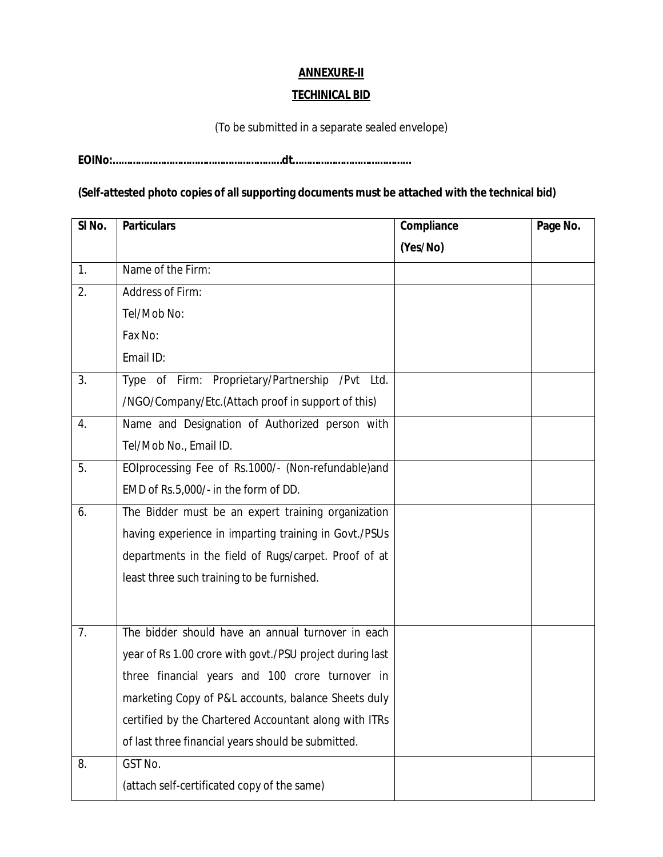# **ANNEXURE-II**

#### **TECHINICAL BID**

(To be submitted in a separate sealed envelope)

**EOINo:……………………………………………………dt……………………………………**

### **(Self-attested photo copies of all supporting documents must be attached with the technical bid)**

| SI <sub>No.</sub> | <b>Particulars</b>                                       | Compliance | Page No. |
|-------------------|----------------------------------------------------------|------------|----------|
|                   |                                                          | (Yes/No)   |          |
| 1.                | Name of the Firm:                                        |            |          |
| 2.                | Address of Firm:                                         |            |          |
|                   | Tel/Mob No:                                              |            |          |
|                   | Fax No:                                                  |            |          |
|                   | Email ID:                                                |            |          |
| 3.                | Type of Firm: Proprietary/Partnership /Pvt Ltd.          |            |          |
|                   | /NGO/Company/Etc.(Attach proof in support of this)       |            |          |
| 4.                | Name and Designation of Authorized person with           |            |          |
|                   | Tel/Mob No., Email ID.                                   |            |          |
| 5.                | EOIprocessing Fee of Rs.1000/- (Non-refundable)and       |            |          |
|                   | EMD of Rs.5,000/- in the form of DD.                     |            |          |
| 6.                | The Bidder must be an expert training organization       |            |          |
|                   | having experience in imparting training in Govt./PSUs    |            |          |
|                   | departments in the field of Rugs/carpet. Proof of at     |            |          |
|                   | least three such training to be furnished.               |            |          |
|                   |                                                          |            |          |
| 7.                | The bidder should have an annual turnover in each        |            |          |
|                   | year of Rs 1.00 crore with govt./PSU project during last |            |          |
|                   | three financial years and 100 crore turnover in          |            |          |
|                   | marketing Copy of P&L accounts, balance Sheets duly      |            |          |
|                   | certified by the Chartered Accountant along with ITRs    |            |          |
|                   | of last three financial years should be submitted.       |            |          |
| 8.                | GST No.                                                  |            |          |
|                   | (attach self-certificated copy of the same)              |            |          |
|                   |                                                          |            |          |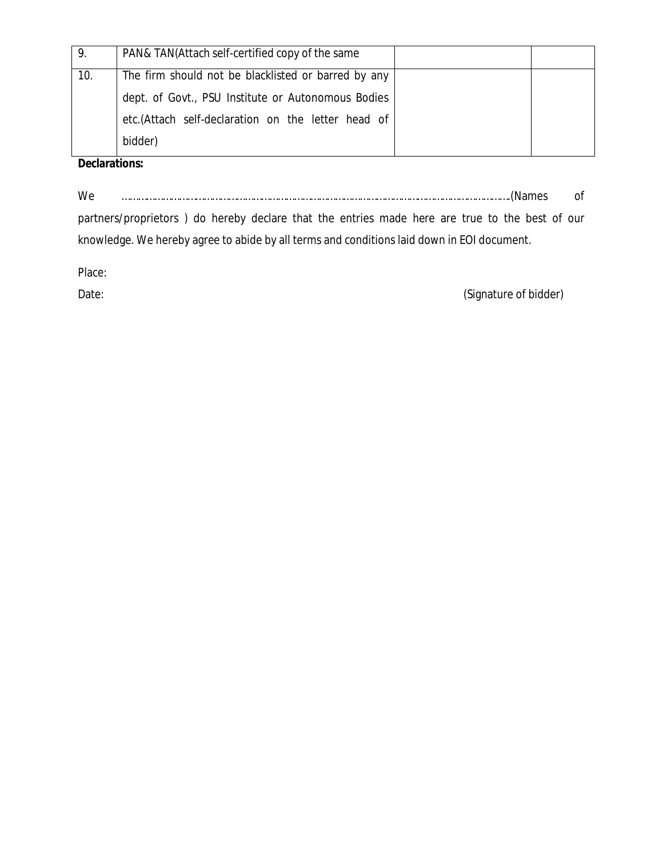| 9.  | PAN& TAN(Attach self-certified copy of the same     |  |
|-----|-----------------------------------------------------|--|
| 10. | The firm should not be blacklisted or barred by any |  |
|     | dept. of Govt., PSU Institute or Autonomous Bodies  |  |
|     | etc.(Attach self-declaration on the letter head of  |  |
|     | bidder)                                             |  |

**Declarations:**

We …………………………………………………………………………………………………………………………….(Names of

partners/proprietors ) do hereby declare that the entries made here are true to the best of our knowledge. We hereby agree to abide by all terms and conditions laid down in EOI document.

Place:

Date: (Signature of bidder)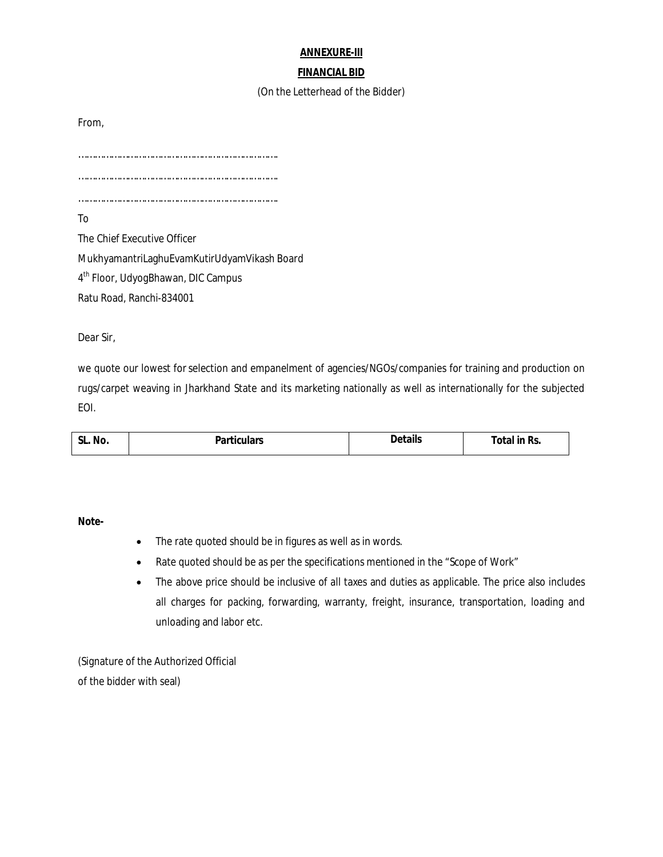#### **ANNEXURE-III**

#### **FINANCIAL BID**

#### (On the Letterhead of the Bidder)

From,

………………………………………………………………. ……………………………………………………………….

……………………………………………………………….

To

The Chief Executive Officer MukhyamantriLaghuEvamKutirUdyamVikash Board 4<sup>th</sup> Floor, UdyogBhawan, DIC Campus Ratu Road, Ranchi-834001

Dear Sir,

we quote our lowest for selection and empanelment of agencies/NGOs/companies for training and production on rugs/carpet weaving in Jharkhand State and its marketing nationally as well as internationally for the subjected EOI.

| SL.<br>No.<br>. <del>.</del> . | rticulars∼~<br>. | Details<br>. | otal in Rs.<br>_____ |
|--------------------------------|------------------|--------------|----------------------|
|--------------------------------|------------------|--------------|----------------------|

**Note-**

- The rate quoted should be in figures as well as in words.
- Rate quoted should be as per the specifications mentioned in the "Scope of Work"
- The above price should be inclusive of all taxes and duties as applicable. The price also includes all charges for packing, forwarding, warranty, freight, insurance, transportation, loading and unloading and labor etc.

(Signature of the Authorized Official of the bidder with seal)